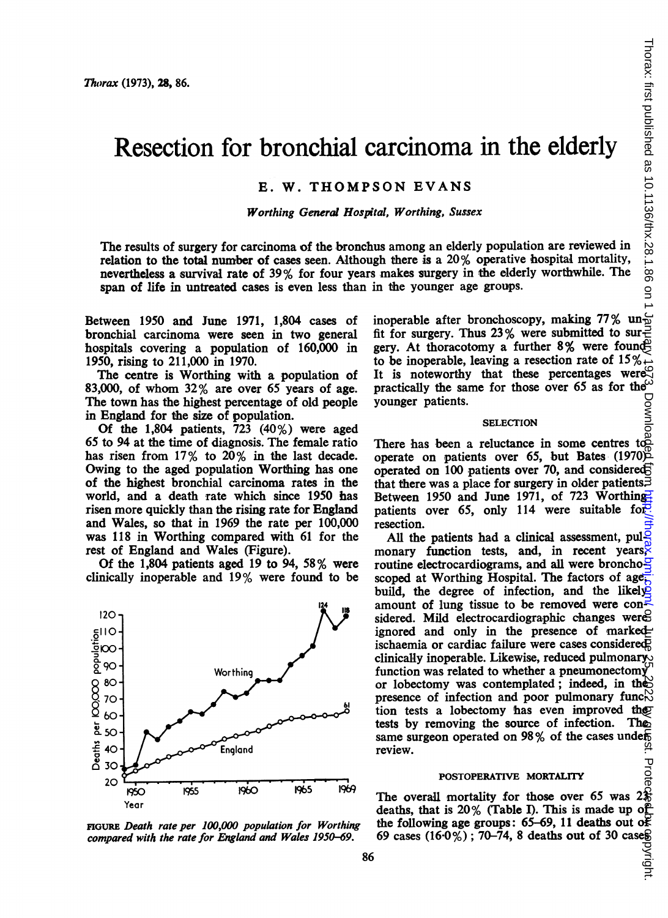# Resection for bronchial carcinoma in the elderly

## E. W. THOMPSON EVANS

#### Worthing General Hospital, Worthing, Sussex

The results of surgery for carcinoma of the bronchus among an elderly population are reviewed in relation to the total number of cases seen. Although there is a  $20\%$  operative hospital mortality, nevertheless a survival rate of 39% for four years makes surgery in the elderly worthwhile. The span of life in untreated cases is even less than in the younger age groups.

Between 1950 and June 1971, 1,804 cases of bronchial carcinoma were seen in two general hospitals covering a population of 160,000 in 1950, rising to 211,000 in 1970.

The centre is Worthing with a population of 83,000, of whom 32% are over 65 years of age. The town has the highest percentage of old people in England for the size of population.

Of the 1,804 patients, 723 (40%) were aged 65 to 94 at the time of diagnosis. The female ratio has risen from 17% to 20% in the last decade. Owing to the aged population Worthing has one of the highest bronchial carcinoma rates in the world, and a death rate which since 1950 has risen more quickly than the rising rate for England and Wales, so that in 1969 the rate per 100,000 was 118 in Worthing compared with 61 for the rest of England and Wales (Figure).

Of the 1,804 patients aged 19 to 94, 58% were clinically inoperable and 19% were found to be



FiGURE Death rate per 100,000 population for Worthing compared with the rate for England and Wales 1950-69.

inoperable after bronchoscopy, making 77% un $\frac{1}{10}$ fit for surgery. Thus 23% were submitted to sur gery. At thoracotomy a further 8% were found to be inoperable, leaving a resection rate of  $15\%$ . It is noteworthy that these percentages were practically the same for those over 65 as for the sympatric points.<br>
SELECTION SELECTION younger patients.

#### **SELECTION**

There has been a reluctance in some centres to a operate on patients over 65, but Bates (1970) operated on 100 patients over 70, and considered that there was a place for surgery in older patients. Between 1950 and June 1971, of 723 Worthingpatients over 65, only 114 were suitable for resection.

All the patients had a clinical assessment, pulmonary function tests, and, in recent years, routine electrocardiograms, and all were broncho $\frac{5}{5}$ scoped at Worthing Hospital. The factors of age<sub>1</sub> build, the degree of infection, and the likely amount of lung tissue to be removed were considered. Mild electrocardiographic changes were ignored and only in the presence of marked ischaemia or cardiac failure were cases considered clinically inoperable. Likewise, reduced pulmonary function was related to whether a pneumonectomy or lobectomy was contemplated; indeed, in the presence of infection and poor pulmonary func $\mathbb{R}^N$ tion tests a lobectomy has even improved they tests by removing the source of infection. They tests by removing the source of infection. same surgeon operated on 98% of the cases under review. . Protec

#### POSTOPERATIVE MORTALITY

The overall mortality for those over 65 was  $2\frac{2}{3}$ deaths, that is 20% (Table I). This is made up of the following age groups: 65-69, 11 deaths out of 69 cases  $(16.0\%)$ ; 70–74, 8 deaths out of 30 cases

right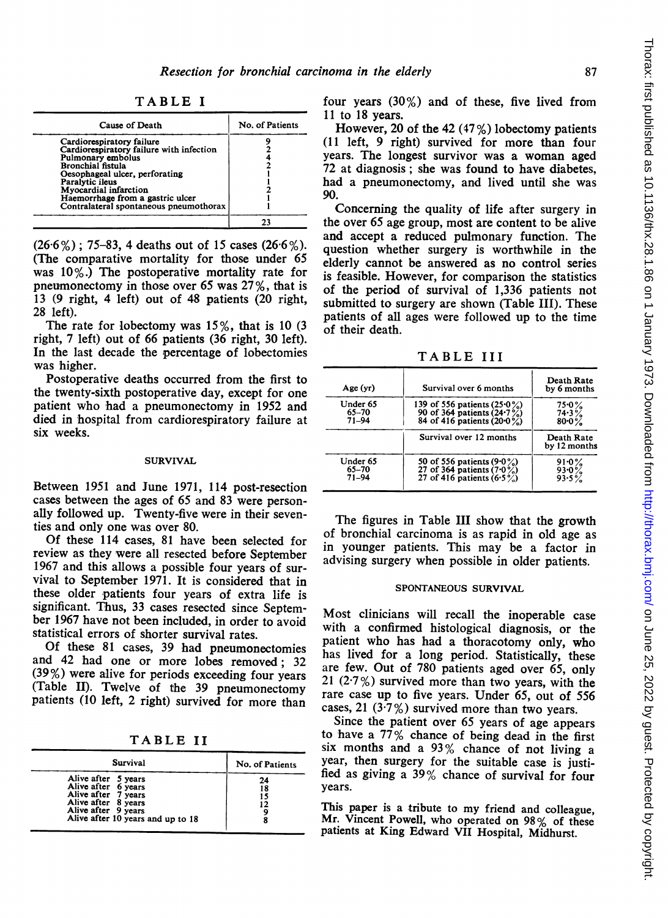TABLE <sup>I</sup>

| Cause of Death                           | No. of Patients |
|------------------------------------------|-----------------|
| Cardiorespiratory failure                |                 |
| Cardiorespiratory failure with infection |                 |
| Pulmonary embolus                        |                 |
| Bronchial fistula                        |                 |
| Oesophageal ulcer, perforating           |                 |
| Paralytic ileus                          |                 |
| Myocardial infarction                    |                 |
| Haemorrhage from a gastric ulcer         |                 |
| Contralateral spontaneous pneumothorax   |                 |
|                                          |                 |

 $(26.6\%)$ ; 75-83, 4 deaths out of 15 cases  $(26.6\%)$ . (The comparative mortality for those under 65 was 10%.) The postoperative mortality rate for pneumonectomy in those over 65 was 27 %, that is 13 (9 right, 4 left) out of 48 patients (20 right, 28 left).

The rate for lobectomy was 15%, that is 10 (3 right, 7 left) out of 66 patients (36 right, 30 left). In the last decade the percentage of lobectomies was higher.

Postoperative deaths occurred from the first to the twenty-sixth postoperative day, except for one patient who had a pneumonectomy in 1952 and died in hospital from cardiorespiratory failure at six weeks.

### **SURVIVAL**

Between 1951 and June 1971, 114 post-resection cases between the ages of 65 and 83 were personally followed up. Twenty-five were in their seventies and only one was over 80.

Of these 114 cases, 81 have been selected for review as they were all resected before September 1967 and this allows a possible four years of survival to September 1971. It is considered that in these older patients four years of extra life is significant. Thus, 33 cases resected since September 1967 have not been included, in order to avoid statistical errors of shorter survival rates.

Of these <sup>81</sup> cases, 39 had pneumonectomies and 42 had one or more lobes removed; 32 (39%) were alive for periods exceeding four years (Table II). Twelve of the 39 pneumonectomy patients (10 left, 2 right) survived for more than

TABLE II

| <b>Survival</b>                                                                                                                                      | No. of Patients      |
|------------------------------------------------------------------------------------------------------------------------------------------------------|----------------------|
| Alive after 5 years<br>Alive after 6 years<br>Alive after 7 years<br>Alive after 8 years<br>Alive after 9 years<br>Alive after 10 years and up to 18 | 24<br>18<br>15<br>12 |

four years (30%) and of these, five lived from 11 to 18 years.

However, 20 of the 42  $(47\%)$  lobectomy patients (11 left, 9 right) survived for more than four years. The longest survivor was a woman aged 72 at diagnosis; she was found to have diabetes, had a pneumonectomy, and lived until she was 90.

Concerning the quality of life after surgery in the over 65 age group, most are content to be alive and accept a reduced pulmonary function. The question whether surgery is worthwhile in the elderly cannot be answered as no control series is feasible. However, for comparison the statistics of the period of survival of 1,336 patients not submitted to surgery are shown (Table III). These patients of all ages were followed up to the time of their death.

TABLE III

| Survival over 6 months                                                                           | Death Rate<br>by 6 months        |
|--------------------------------------------------------------------------------------------------|----------------------------------|
| 139 of 556 patients $(25.0\%)$<br>90 of 364 patients $(24.7\%)$<br>84 of 416 patients $(20.0\%)$ | $75.0\%$<br>74.3%<br>$80 - 0 \%$ |
| Survival over 12 months                                                                          | Death Rate<br>by 12 months       |
| 50 of 556 patients $(9.0\%)$<br>27 of 364 patients $(7.0\%)$<br>27 of 416 patients $(6.5\%)$     | 91.0%<br>$93.0\%$<br>$93.5\%$    |
|                                                                                                  |                                  |

The figures in Table III show that the growth of bronchial carcinoma is as rapid in old age as in younger patients. This may be a factor in advising surgery when possible in older patients.

#### SPONTANEOUS SURVIVAL

Most clinicians will recall the inoperable case with a confirmed histological diagnosis, or the patient who has had a thoracotomy only, who has lived for a long period. Statistically, these are few. Out of 780 patients aged over 65, only 21 (2.7%) survived more than two years, with the rare case up to five years. Under 65, out of 556 cases, 21 (3.7%) survived more than two years.

Since the patient over 65 years of age appears to have a 77% chance of being dead in the first six months and a  $93\%$  chance of not living a year, then surgery for the suitable case is justified as giving a 39% chance of survival for four years.

This paper is <sup>a</sup> tribute to my friend and colleague, Mr. Vincent Powell, who operated on 98% of these patients at King Edward VII Hospital, Midhurst.